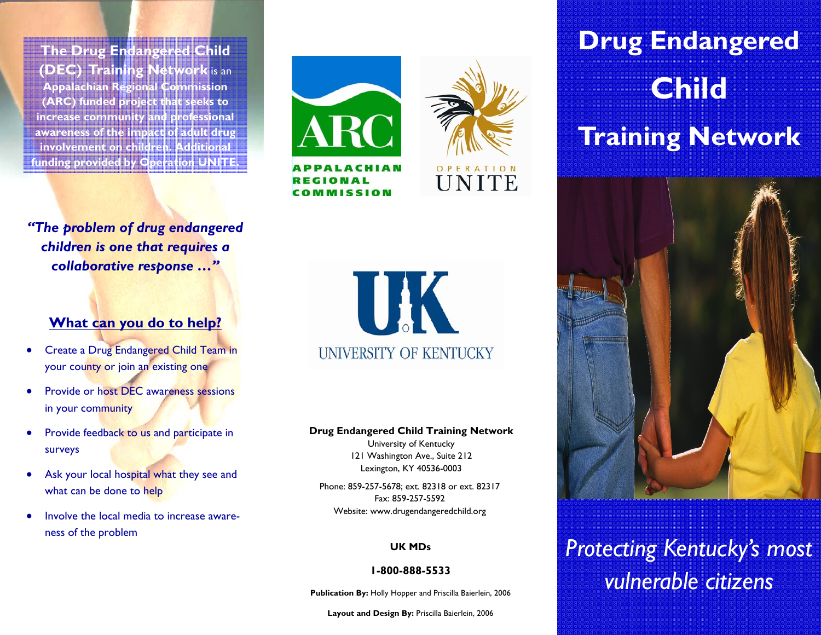**The Drug Endangered Child (DEC) Training Network** is an **Appalachian Regional Commission (ARC) funded project that seeks to increase community and professional awareness of the impact of adult drug involvement on children. Additional funding provided by Operation UNITE.** 

*"The problem of drug endangered children is one that requires a collaborative response …"* 

### **What can you do to help?**

- Create a Drug Endangered Child Team in your county or join an existing one
- Provide or host DEC awareness sessions in your community
- Provide feedback to us and participate in surveys
- Ask your local hospital what they see and what can be done to help
- Involve the local media to increase awareness of the problem





**UK** UNIVERSITY OF KENTUCKY

### **Drug Endangered Child Training Network**

University of Kentucky 121 Washington Ave., Suite 212 Lexington, KY 40536-0003

Phone: 859-257-5678; ext. 82318 or ext. 82317 Fax: 859-257-5592 Website: www.drugendangeredchild.org

### **UK MDs**

### **1-800-888-5533**

**Publication By:** Holly Hopper and Priscilla Baierlein, 2006

**Layout and Design By:** Priscilla Baierlein, 2006

# **Drug Endangered ChildTraining Network**



## *Protecting Kentucky's most vulnerable citizens*